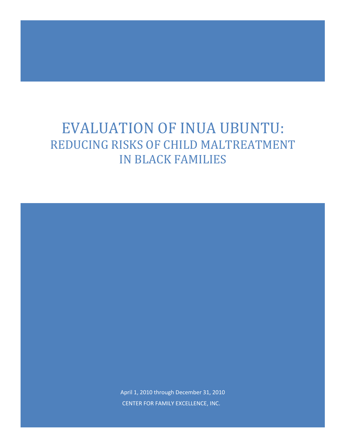# EVALUATION OF INUA UBUNTU: REDUCING RISKS OF CHILD MALTREATMENT IN BLACK FAMILIES

April 1, 2010 through December 31, 2010 CENTER FOR FAMILY EXCELLENCE, INC.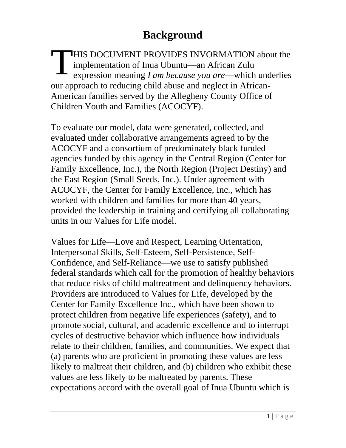HIS DOCUMENT PROVIDES INVORMATION about the implementation of Inua Ubuntu—an African Zulu expression meaning *I am because you are*—which underlies our approach to reducing child abuse and neglect in African-American families served by the Allegheny County Office of Children Youth and Families (ACOCYF). T

To evaluate our model, data were generated, collected, and evaluated under collaborative arrangements agreed to by the ACOCYF and a consortium of predominately black funded agencies funded by this agency in the Central Region (Center for Family Excellence, Inc.), the North Region (Project Destiny) and the East Region (Small Seeds, Inc.). Under agreement with ACOCYF, the Center for Family Excellence, Inc., which has worked with children and families for more than 40 years, provided the leadership in training and certifying all collaborating units in our Values for Life model.

Values for Life—Love and Respect, Learning Orientation, Interpersonal Skills, Self-Esteem, Self-Persistence, Self-Confidence, and Self-Reliance—we use to satisfy published federal standards which call for the promotion of healthy behaviors that reduce risks of child maltreatment and delinquency behaviors. Providers are introduced to Values for Life, developed by the Center for Family Excellence Inc., which have been shown to protect children from negative life experiences (safety), and to promote social, cultural, and academic excellence and to interrupt cycles of destructive behavior which influence how individuals relate to their children, families, and communities. We expect that (a) parents who are proficient in promoting these values are less likely to maltreat their children, and (b) children who exhibit these values are less likely to be maltreated by parents. These expectations accord with the overall goal of Inua Ubuntu which is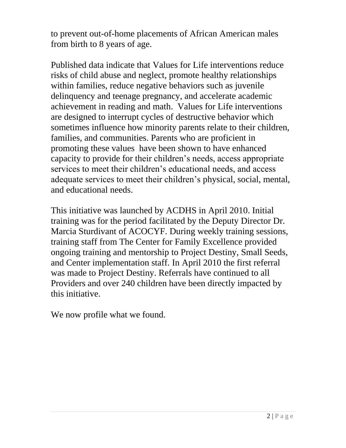to prevent out-of-home placements of African American males from birth to 8 years of age.

Published data indicate that Values for Life interventions reduce risks of child abuse and neglect, promote healthy relationships within families, reduce negative behaviors such as juvenile delinquency and teenage pregnancy, and accelerate academic achievement in reading and math. Values for Life interventions are designed to interrupt cycles of destructive behavior which sometimes influence how minority parents relate to their children, families, and communities. Parents who are proficient in promoting these values have been shown to have enhanced capacity to provide for their children's needs, access appropriate services to meet their children's educational needs, and access adequate services to meet their children's physical, social, mental, and educational needs.

This initiative was launched by ACDHS in April 2010. Initial training was for the period facilitated by the Deputy Director Dr. Marcia Sturdivant of ACOCYF. During weekly training sessions, training staff from The Center for Family Excellence provided ongoing training and mentorship to Project Destiny, Small Seeds, and Center implementation staff. In April 2010 the first referral was made to Project Destiny. Referrals have continued to all Providers and over 240 children have been directly impacted by this initiative.

We now profile what we found.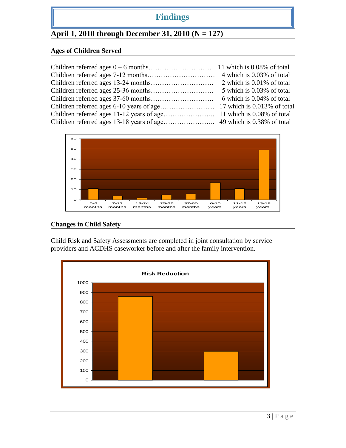# **Findings**

## **April 1, 2010 through December 31, 2010 (N = 127)**

#### **Ages of Children Served**



#### **Changes in Child Safety**

Child Risk and Safety Assessments are completed in joint consultation by service providers and ACDHS caseworker before and after the family intervention.